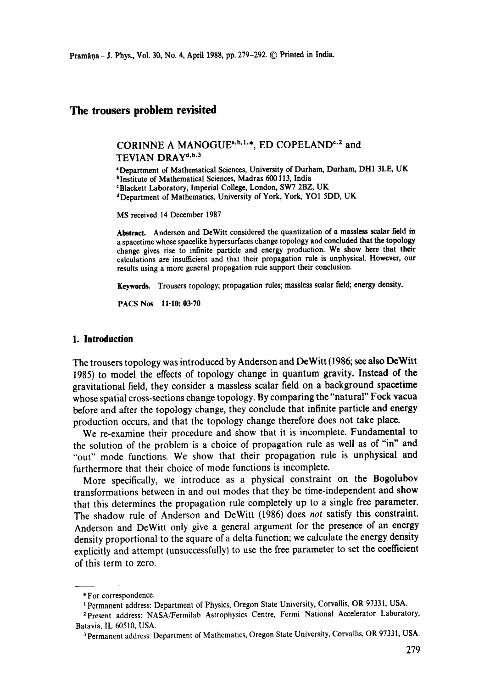# **The trousers problem revisited**

CORINNE A MANOGUE<sup>a,b,1,\*</sup>, ED COPELAND<sup>c,2</sup> and TEVIAN DRAY<sup>d,b,3</sup>

<sup>2</sup>Department of Mathematical Sciences, University of Durham, Durham, DH1 3LE, UK <sup>b</sup>Institute of Mathematical Sciences, Madras 600 113, India <sup>c</sup>Blackett Laboratory, Imperial College, London, SW7 2BZ, UK

dDepartment of Mathematics, University of York, York, YO1 5DD, UK

MS received 14 December 1987

Abstract. Anderson and DeWitt considered the quantization of a massless scalar field in a spacetime whose spacelike hypersurfaces change topology and concluded that the topology change gives rise to infinite particle and energy production. We **show here that their**  calculations are insufficient and that their propagation rule is unphysical. However, **our**  results using a more general propagation rule support their conclusion.

Keywords. Trousers topology; propagation rules; massless scalar field; energy density.

PACS Nos 11.10; 03.70

## **1. Introduction**

The trousers topology was introduced by Anderson and DeWitt (1986; see also DeWitt 1985) to model the effects of topology change in quantum gravity. Instead of the gravitational field, they consider a massless scalar field on a background spacetime whose spatial cross-sections change topology. By comparing the "natural" Fock vacua before and after the topology change, they conclude that infinite particle and energy production occurs, and that the topology change therefore does not take place.

We re-examine their procedure and show that it is incomplete. Fundamental to the solution of the problem is a choice of propagation rule as well as of "in" and "out" mode functions. We show that their propagation rule is unphysical and furthermore that their choice of mode functions is incomplete.

More specifically, we introduce as a physical constraint on the Bogolubov transformations between in and out modes that they be time-independent and show that this determines the propagation rule completely up to a single free parameter. The shadow rule of Anderson and DeWitt (1986) does *not* satisfy this constraint. Anderson and DeWitt only give a general argument for the presence of an energy density proportional to the square of a delta function; we calculate the energy density explicitly and attempt (unsuccessfully) to use the free parameter to set the coefficient of this term to zero.

<sup>\*</sup> For correspondence.

t Permanent address: Department of Physics, Oregon State University, Corvallis, OR 97331, USA.

<sup>&</sup>lt;sup>2</sup> Present address: NASA/Fermilab Astrophysics Centre, Fermi National Accelerator Laboratory, Batavia, IL 60510, USA.

<sup>&</sup>lt;sup>3</sup> Permanent address: Department of Mathematics, Oregon State University, Corvallis, OR 97331, USA.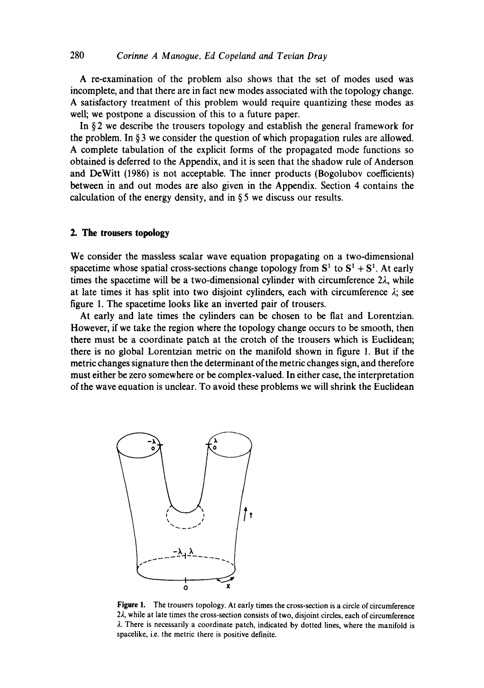A re-examination of the problem also shows that the set of modes used was incomplete, and that there are in fact new modes associated with the topology change. A satisfactory treatment of this problem would require quantizing these modes as well; we postpone a discussion of this to a future paper.

In § 2 we describe the trousers topology and establish the general framework for the problem. In § 3 we consider the question of which propagation rules are allowed. A complete tabulation of the explicit forms of the propagated mode functions so obtained is deferred to the Appendix, and it is seen that the shadow rule of Anderson and DeWitt (1986) is not acceptable. The inner products (Bogolubov coefficients) between in and out modes are also given in the Appendix. Section 4 contains the calculation of the energy density, and in § 5 we discuss our results.

## **2. The trousers topology**

We consider the massless scalar wave equation propagating on a two-dimensional spacetime whose spatial cross-sections change topology from  $S^1$  to  $S^1 + S^1$ . At early times the spacetime will be a two-dimensional cylinder with circumference  $2\lambda$ , while at late times it has split into two disjoint cylinders, each with circumference  $\lambda$ ; see figure 1. The spacetime looks like an inverted pair of trousers.

At early and late times the cylinders can be chosen to be flat and Lorentzian. However, if we take the region where the topology change occurs to be smooth, then there must be a coordinate patch at the crotch of the trousers which is Euclidean; there is no global Lorentzian metric on the manifold shown in figure 1. But if the metric changes signature then the determinant of the metric changes sign, and therefore must either be zero somewhere or be complex-valued. In either case, the interpretation of the wave eauation is unclear. To avoid these problems we will shrink the Euclidean



**Figure** 1. The trousers topology. At early times the cross-section is a circle of circumference 22, while at late times the cross-section consists of two, disjoint circles, each of circumference  $\lambda$ . There is necessarily a coordinate patch, indicated by dotted lines, where the manifold is spacelike, i.e. the metric there is positive definite.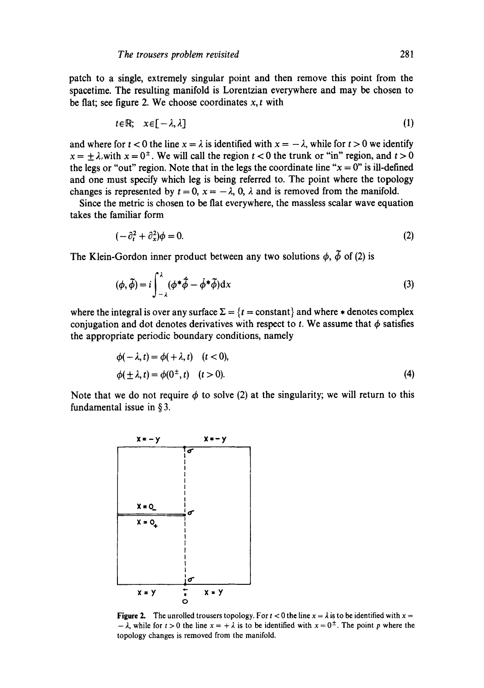patch to a single, extremely singular point and then remove this point from the spacetime. The resulting manifold is Lorentzian everywhere and may be chosen to be flat; see figure 2. We choose coordinates  $x, t$  with

$$
t \in \mathbb{R}; \quad x \in [-\lambda, \lambda]
$$
 (1)

and where for  $t < 0$  the line  $x = \lambda$  is identified with  $x = -\lambda$ , while for  $t > 0$  we identify  $x = \pm \lambda$ , with  $x = 0^{\pm}$ . We will call the region  $t < 0$  the trunk or "in" region, and  $t > 0$ the legs or "out" region. Note that in the legs the coordinate line " $x = 0$ " is ill-defined and one must specify which leg is being referred to. The point where the topology changes is represented by  $t = 0$ ,  $x = -\lambda$ , 0,  $\lambda$  and is removed from the manifold.

Since the metric is chosen to be fiat everywhere, the massless scalar wave equation takes the familiar form

$$
(-\partial_t^2 + \partial_x^2)\phi = 0. \tag{2}
$$

The Klein-Gordon inner product between any two solutions  $\phi$ ,  $\tilde{\phi}$  of (2) is

$$
(\phi, \tilde{\phi}) = i \int_{-\lambda}^{\lambda} (\phi^* \tilde{\phi} - \dot{\phi}^* \tilde{\phi}) dx
$$
 (3)

where the integral is over any surface  $\Sigma = \{t = constant\}$  and where  $*$  denotes complex conjugation and dot denotes derivatives with respect to t. We assume that  $\phi$  satisfies the appropriate periodic boundary conditions, namely

$$
\phi(-\lambda, t) = \phi(+\lambda, t) \quad (t < 0),
$$
  
\n
$$
\phi(\pm \lambda, t) = \phi(0^{\pm}, t) \quad (t > 0).
$$
\n(4)

Note that we do not require  $\phi$  to solve (2) at the singularity; we will return to this fundamental issue in § 3.



**Figure 2.** The unrolled trousers topology. For  $t < 0$  the line  $x = \lambda$  is to be identified with  $x =$  $-\lambda$ , while for  $t > 0$  the line  $x = +\lambda$  is to be identified with  $x = 0^{\pm}$ . The point p where the topology changes is removed from the manifold.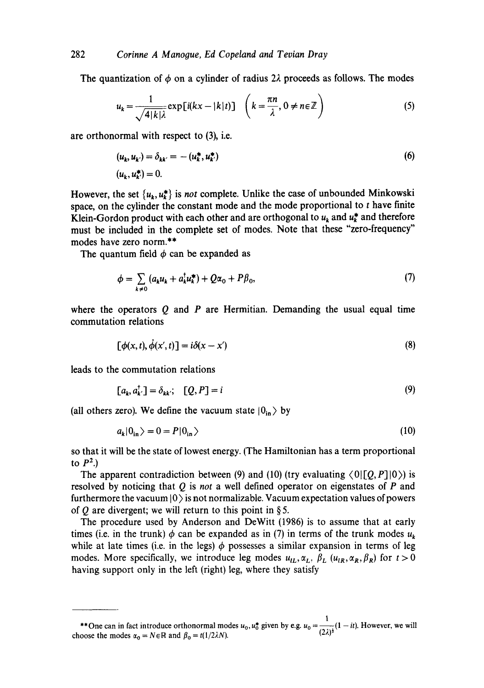The quantization of  $\phi$  on a cylinder of radius 2 $\lambda$  proceeds as follows. The modes

$$
u_k = \frac{1}{\sqrt{4|k|\lambda}} \exp[i(kx - |k|t)] \quad \left(k = \frac{\pi n}{\lambda}, 0 \neq n \in \mathbb{Z}\right)
$$
 (5)

are orthonormal with respect to (3), i.e.

$$
(u_k, u_{k'}) = \delta_{kk'} = -(u_k^*, u_k^*)
$$
  
(6)  

$$
(u_k, u_{k'}^*) = 0.
$$

However, the set  $\{u_k, u_k^*\}$  is *not* complete. Unlike the case of unbounded Minkowski space, on the cylinder the constant mode and the mode proportional to t have finite Klein-Gordon product with each other and are orthogonal to  $u_k$  and  $u_k^*$  and therefore must be included in the complete set of modes. Note that these "zero-frequency" modes have zero norm.\*\*

The quantum field  $\phi$  can be expanded as

$$
\phi = \sum_{k \neq 0} \left( a_k u_k + a_k^{\dagger} u_k^{\dagger} \right) + Q \alpha_0 + P \beta_0, \tag{7}
$$

where the operators  $Q$  and  $P$  are Hermitian. Demanding the usual equal time commutation relations

$$
[\phi(x,t),\dot{\phi}(x',t)]=i\delta(x-x')
$$
\n(8)

leads to the commutation relations

$$
[a_k, a_{k'}^{\dagger}] = \delta_{kk'}; \quad [Q, P] = i \tag{9}
$$

(all others zero). We define the vacuum state  $|0_{in}\rangle$  by

$$
a_k|0_{\rm in}\rangle = 0 = P|0_{\rm in}\rangle \tag{10}
$$

so that it will be the state of lowest energy. (The Hamiltonian has a term proportional to  $P^2$ .)

The apparent contradiction between (9) and (10) (try evaluating  $\langle 0| [Q, P]|0\rangle$ ) is resolved by noticing that Q is *not* a well defined operator on eigenstates of P and furthermore the vacuum  $|0\rangle$  is not normalizable. Vacuum expectation values of powers of Q are divergent; we will return to this point in §5.

The procedure used by Anderson and DeWitt (1986) is to assume that at early times (i.e. in the trunk)  $\phi$  can be expanded as in (7) in terms of the trunk modes  $u_k$ while at late times (i.e. in the legs)  $\phi$  possesses a similar expansion in terms of leg modes. More specifically, we introduce leg modes  $u_{iL}, \alpha_L, \beta_L$  ( $u_{iR}, \alpha_R, \beta_R$ ) for  $t > 0$ having support only in the left (right) leg, where they satisfy

<sup>\*\*</sup>One can in fact introduce orthonormal modes  $u_0$ ,  $u_0^*$  given by e.g.  $u_0 = \frac{1}{(2\lambda)^4} (1 - it)$ . However, we will choose the modes  $\alpha_0 = N \in \mathbb{R}$  and  $\beta_0 = t(1/2\lambda N)$ .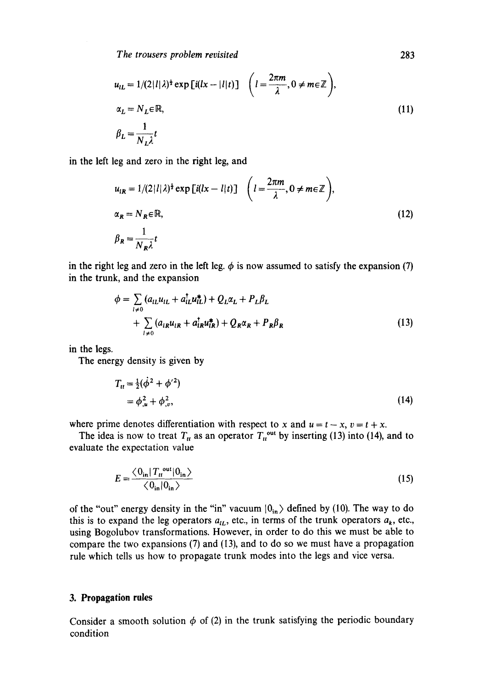$$
u_{iL} = 1/(2|l|\lambda)^{\frac{1}{2}} \exp\left[i(lx - |l|t)\right] \quad \left(l = \frac{2\pi m}{\lambda}, 0 \neq m \in \mathbb{Z}\right),
$$
  
\n
$$
\alpha_L = N_L \in \mathbb{R},
$$
  
\n
$$
\beta_L = \frac{1}{N_L \lambda} t
$$
\n(11)

in the left leg and zero in the right leg, and

$$
u_{iR} = 1/(2|l|\lambda)^{\frac{1}{2}} \exp\left[i(lx - l|t)\right] \quad \left(l = \frac{2\pi m}{\lambda}, 0 \neq m \in \mathbb{Z}\right),
$$
  
\n
$$
\alpha_R = N_R \in \mathbb{R},
$$
  
\n
$$
\beta_R = \frac{1}{N_R \lambda} t
$$
\n(12)

in the right leg and zero in the left leg.  $\phi$  is now assumed to satisfy the expansion (7) in the trunk, and the expansion

$$
\phi = \sum_{l \neq 0} (a_{lL} u_{lL} + a_{lL}^{\dagger} u_{lL}^{\dagger}) + Q_L \alpha_L + P_L \beta_L
$$
  
+ 
$$
\sum_{l \neq 0} (a_{lR} u_{lR} + a_{lR}^{\dagger} u_{lR}^{\dagger}) + Q_R \alpha_R + P_R \beta_R
$$
 (13)

in the legs.

The energy density is given by

$$
T_{tt} = \frac{1}{2}(\dot{\phi}^2 + \phi'^2)
$$
  
=  $\phi_{,u}^2 + \phi_{,v}^2$ , (14)

where prime denotes differentiation with respect to x and  $u = t - x$ ,  $v = t + x$ .

The idea is now to treat  $T_u$  as an operator  $T_u^{\text{out}}$  by inserting (13) into (14), and to evaluate the expectation value

$$
E = \frac{\langle 0_{\text{in}} | T_{tt}^{\text{out}} | 0_{\text{in}} \rangle}{\langle 0_{\text{in}} | 0_{\text{in}} \rangle}
$$
(15)

of the "out" energy density in the "in" vacuum  $|0_{in}\rangle$  defined by (10). The way to do this is to expand the leg operators  $a_{iL}$ , etc., in terms of the trunk operators  $a_k$ , etc., using Bogolubov transformations. However, in order to do this we must be able to compare the two expansions (7) and (13), and to do so we must have a propagation rule which tells us how to propagate trunk modes into the legs and vice versa.

## **3. Propagation rules**

Consider a smooth solution  $\phi$  of (2) in the trunk satisfying the periodic boundary condition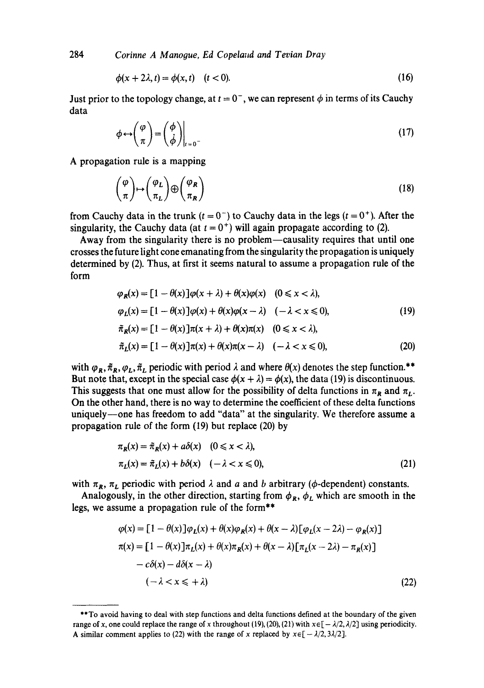284 *Corinne A Manooue, Ed Copela,d and Tevian Dray* 

$$
\phi(x+2\lambda,t)=\phi(x,t) \quad (t<0). \tag{16}
$$

Just prior to the topology change, at  $t = 0^-$ , we can represent  $\phi$  in terms of its Cauchy data

$$
\phi \leftrightarrow \begin{pmatrix} \varphi \\ \pi \end{pmatrix} = \begin{pmatrix} \phi \\ \dot{\phi} \end{pmatrix} \Big|_{t=0} \tag{17}
$$

A propagation rule is a mapping

$$
\binom{\varphi}{\pi} \mapsto \binom{\varphi_L}{\pi_L} \oplus \binom{\varphi_R}{\pi_R} \tag{18}
$$

from Cauchy data in the trunk  $(t = 0^{-})$  to Cauchy data in the legs  $(t = 0^{+})$ . After the singularity, the Cauchy data (at  $t = 0^{+}$ ) will again propagate according to (2).

Away from the singularity there is no problem—causality requires that until one crosses the future light cone emanating from the singularity the propagation is uniquely determined by (2). Thus, at first it seems natural to assume a propagation rule of the form

$$
\varphi_R(x) = [1 - \theta(x)]\varphi(x + \lambda) + \theta(x)\varphi(x) \quad (0 \le x < \lambda),
$$
  
\n
$$
\varphi_L(x) = [1 - \theta(x)]\varphi(x) + \theta(x)\varphi(x - \lambda) \quad (-\lambda < x \le 0),
$$
  
\n
$$
\tilde{\pi}_R(x) = [1 - \theta(x)]\pi(x + \lambda) + \theta(x)\pi(x) \quad (0 \le x < \lambda),
$$
\n(19)

$$
\tilde{\pi}_L(x) = [1 - \theta(x)]\pi(x) + \theta(x)\pi(x - \lambda) \quad (-\lambda < x \leq 0),\tag{20}
$$

with  $\varphi_R$ ,  $\tilde{\pi}_R$ ,  $\varphi_L$ ,  $\tilde{\pi}_L$  periodic with period  $\lambda$  and where  $\theta(x)$  denotes the step function.\*\* But note that, except in the special case  $\phi(x + \lambda) = \phi(x)$ , the data (19) is discontinuous. This suggests that one must allow for the possibility of delta functions in  $\pi_R$  and  $\pi_L$ . On the other hand, there is no way to determine the coefficient of these delta functions uniquely--one has freedom to add "data" at the singularity. We therefore assume a propagation rule of the form (19) but replace (20) by

$$
\pi_{\mathbf{R}}(x) = \tilde{\pi}_{\mathbf{R}}(x) + a\delta(x) \quad (0 \le x < \lambda),
$$
\n
$$
\pi_{\mathbf{L}}(x) = \tilde{\pi}_{\mathbf{L}}(x) + b\delta(x) \quad (-\lambda < x \le 0), \tag{21}
$$

with  $\pi_R$ ,  $\pi_L$  periodic with period  $\lambda$  and a and b arbitrary ( $\phi$ -dependent) constants.

Analogously, in the other direction, starting from  $\phi_R$ ,  $\phi_L$  which are smooth in the legs, we assume a propagation rule of the form\*\*

$$
\varphi(x) = [1 - \theta(x)]\varphi_L(x) + \theta(x)\varphi_R(x) + \theta(x - \lambda)[\varphi_L(x - 2\lambda) - \varphi_R(x)]
$$
  
\n
$$
\pi(x) = [1 - \theta(x)]\pi_L(x) + \theta(x)\pi_R(x) + \theta(x - \lambda)[\pi_L(x - 2\lambda) - \pi_R(x)]
$$
  
\n
$$
-c\delta(x) - d\delta(x - \lambda)
$$
  
\n
$$
(-\lambda < x \leq +\lambda)
$$
\n(22)

<sup>\*\*</sup>To avoid having to deal with step functions and delta functions defined at the boundary of the given range of x, one could replace the range of x throughout (19), (20), (21) with  $x \in [-\lambda/2, \lambda/2]$  using periodicity. A similar comment applies to (22) with the range of x replaced by  $x \in [-\lambda/2, 3\lambda/2]$ .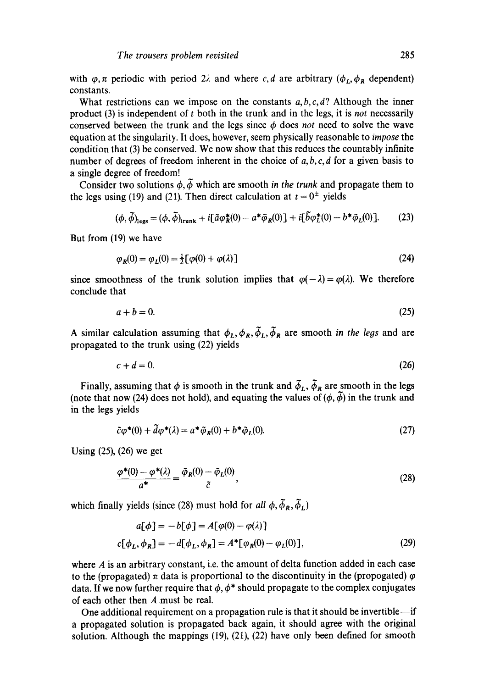with  $\varphi$ ,  $\pi$  periodic with period 2 $\lambda$  and where c, d are arbitrary ( $\varphi_L$ ,  $\varphi_R$  dependent) constants.

What restrictions can we impose on the constants *a, b,c,d?* Although the inner product (3) is independent of t both in the trunk and in the legs, it is *not* necessarily conserved between the trunk and the legs since  $\phi$  does *not* need to solve the wave equation at the singularity. It does, however, seem physically reasonable to *impose* the condition that (3) be conserved. We now show that this reduces the countably infinite number of degrees of freedom inherent in the choice of  $a, b, c, d$  for a given basis to a single degree of freedom!

Consider two solutions  $\phi$ ,  $\tilde{\phi}$  which are smooth *in the trunk* and propagate them to the legs using (19) and (21). Then direct calculation at  $t = 0^{\pm}$  yields

$$
(\phi, \tilde{\phi})_{\text{legs}} = (\phi, \tilde{\phi})_{\text{trunk}} + i[\tilde{a}\phi_R^*(0) - a^*\tilde{\phi}_R(0)] + i[\tilde{b}\phi_L^*(0) - b^*\tilde{\phi}_L(0)]. \tag{23}
$$

But from (19) we have

$$
\varphi_R(0) = \varphi_L(0) = \frac{1}{2} [\varphi(0) + \varphi(\lambda)] \tag{24}
$$

since smoothness of the trunk solution implies that  $\varphi(-\lambda) = \varphi(\lambda)$ . We therefore conclude that

$$
a+b=0.\t(25)
$$

A similar calculation assuming that  $\phi_L, \phi_R, \tilde{\phi}_L, \tilde{\phi}_R$  are smooth *in the legs* and are propagated to the trunk using (22) yields

$$
c + d = 0.\tag{26}
$$

Finally, assuming that  $\phi$  is smooth in the trunk and  $\tilde{\phi}_L$ ,  $\tilde{\phi}_R$  are smooth in the legs (note that now (24) does not hold), and equating the values of  $(\phi, \tilde{\phi})$  in the trunk and in the legs yields

$$
\tilde{c}\varphi^*(0) + \tilde{d}\varphi^*(\lambda) = a^*\tilde{\varphi}_R(0) + b^*\tilde{\varphi}_L(0). \tag{27}
$$

Using (25), (26) we get

$$
\frac{\varphi^*(0) - \varphi^*(\lambda)}{a^*} = \frac{\tilde{\varphi}_R(0) - \tilde{\varphi}_L(0)}{\tilde{c}},\tag{28}
$$

which finally yields (since (28) must hold for *all*  $\phi$ ,  $\tilde{\phi}_R$ ,  $\tilde{\phi}_L$ )

$$
a[\phi] = -b[\phi] = A[\varphi(0) - \varphi(\lambda)]
$$
  
c[\phi\_L, \phi\_R] = -d[\phi\_L, \phi\_R] = A^\*[\varphi\_R(0) - \varphi\_L(0)], (29)

where  $\vec{A}$  is an arbitrary constant, i.e. the amount of delta function added in each case to the (propagated)  $\pi$  data is proportional to the discontinuity in the (propogated)  $\varphi$ data. If we now further require that  $\phi$ ,  $\phi^*$  should propagate to the complex conjugates of each other then A must be real.

One additional requirement on a propagation rule is that it should be invertible--if a propagated solution is propagated back again, it should agree with the original solution. Although the mappings  $(19)$ ,  $(21)$ ,  $(22)$  have only been defined for smooth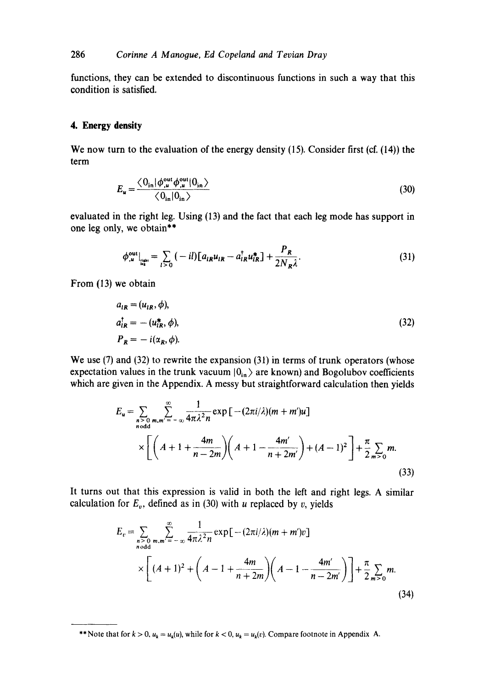functions, they can be extended to discontinuous functions in such a way that this condition is satisfied.

## **4. Energy density**

We now turn to the evaluation of the energy density (15). Consider first (cf. (14)) the term

$$
E_u = \frac{\langle 0_{\rm in} | \phi_{,u}^{\rm out} \phi_{,u}^{\rm out} | 0_{\rm in} \rangle}{\langle 0_{\rm in} | 0_{\rm in} \rangle} \tag{30}
$$

evaluated in the right leg. Using (13) and the fact that each leg mode has support in one leg only, we obtain\*\*

$$
\phi_{,u}^{\text{out}}\big|_{\text{max}} = \sum_{l>0} (-il) [a_{lR} u_{lR} - a_{lR}^\dagger u_{lR}^*] + \frac{P_R}{2N_R \lambda}.
$$
 (31)

From (13) we obtain

$$
a_{iR} = (u_{iR}, \phi),
$$
  
\n
$$
a_{iR}^{\dagger} = -(u_{iR}^*, \phi),
$$
  
\n
$$
P_R = -i(\alpha_R, \phi).
$$
\n(32)

We use (7) and (32) to rewrite the expansion (31) in terms of trunk operators (whose expectation values in the trunk vacuum  $|0_{in}\rangle$  are known) and Bogolubov coefficients which are given in the Appendix. A messy but straightforward calculation then yields

$$
E_u = \sum_{\substack{n > 0 \ n \text{ odd}}} \sum_{m,m'= -\infty}^{\infty} \frac{1}{4\pi \lambda^2 n} \exp\left[ -(2\pi i/\lambda)(m + m')u \right]
$$
  
 
$$
\times \left[ \left( A + 1 + \frac{4m}{n - 2m} \right) \left( A + 1 - \frac{4m'}{n + 2m'} \right) + (A - 1)^2 \right] + \frac{\pi}{2} \sum_{m > 0} m.
$$
 (33)

It turns out that this expression is valid in both the left and right legs. A similar calculation for  $E_v$ , defined as in (30) with u replaced by v, yields

$$
E_v = \sum_{\substack{n > 0 \ n \text{ odd}}} \sum_{m,m'= -\infty}^{\infty} \frac{1}{4\pi\lambda^2 n} \exp\left[ -(2\pi i/\lambda)(m + m')v \right]
$$
  
 
$$
\times \left[ (A+1)^2 + \left( A - 1 + \frac{4m}{n+2m} \right) \left( A - 1 - \frac{4m'}{n-2m'} \right) \right] + \frac{\pi}{2} \sum_{m>0} m.
$$
 (34)

<sup>\*\*</sup> Note that for  $k > 0$ ,  $u_k = u_k(u)$ , while for  $k < 0$ ,  $u_k = u_k(v)$ . Compare footnote in Appendix A.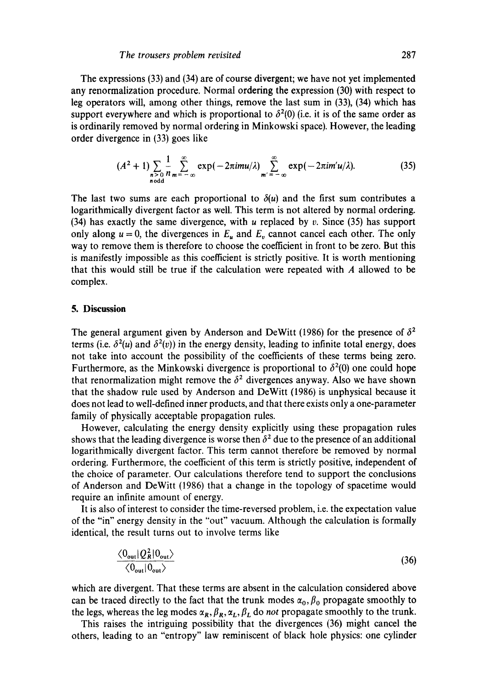The expressions (33) and (34) are of course divergent; we have not yet implemented any renormalization procedure. Normal ordering the expression (30) with respect to leg operators will, among other things, remove the last sum in (33), (34) which has support everywhere and which is proportional to  $\delta^2(0)$  (i.e. it is of the same order as is ordinarily removed by normal ordering in Minkowski space). However, the leading order divergence in (33) goes like

$$
(A2 + 1)\sum_{\substack{n > 0\\ n \text{ odd}}} \frac{1}{n} \sum_{m=-\infty}^{\infty} \exp(-2\pi i m u/\lambda) \sum_{m'=-\infty}^{\infty} \exp(-2\pi i m' u/\lambda).
$$
 (35)

The last two sums are each proportional to  $\delta(u)$  and the first sum contributes a logarithmically divergent factor as well. This term is not altered by normal ordering. (34) has exactly the same divergence, with u replaced by v. Since (35) has support only along  $u = 0$ , the divergences in  $E_u$  and  $E_v$  cannot cancel each other. The only way to remove them is therefore to choose the coefficient in front to be zero. But this is manifestly impossible as this coefficient is strictly positive. It is worth mentioning that this would still be true if the calculation were repeated with A allowed to be complex.

#### **5. Discussion**

The general argument given by Anderson and DeWitt (1986) for the presence of  $\delta^2$ terms (i.e.  $\delta^2(u)$  and  $\delta^2(v)$ ) in the energy density, leading to infinite total energy, does not take into account the possibility of the coefficients of these terms being zero. Furthermore, as the Minkowski divergence is proportional to  $\delta^2(0)$  one could hope that renormalization might remove the  $\delta^2$  divergences anyway. Also we have shown that the shadow rule used by Anderson and DeWitt (1986) is unphysical because it does not lead to well-defined inner products, and that there exists only a one-parameter family of physically acceptable propagation rules.

However, calculating the energy density explicitly using these propagation rules shows that the leading divergence is worse then  $\delta^2$  due to the presence of an additional logarithmically divergent factor. This term cannot therefore be removed by normal ordering. Furthermore, the coefficient of this term is strictly positive, independent of the choice of parameter. Our calculations therefore tend to support the conclusions of Anderson and DeWitt (1986) that a change in the topology of spacetime would require an infinite amount of energy.

It is also of interest to consider the time-reversed problem, i.e. the expectation value of the "in" energy density in the "out" vacuum. Although the calculation is formally identical, the result turns out to involve terms like

$$
\frac{\langle 0_{\text{out}} | Q_R^2 | 0_{\text{out}} \rangle}{\langle 0_{\text{out}} | 0_{\text{out}} \rangle} \tag{36}
$$

which are divergent. That these terms are absent in the calculation considered above can be traced directly to the fact that the trunk modes  $\alpha_0$ ,  $\beta_0$  propagate smoothly to the legs, whereas the leg modes  $\alpha_R$ ,  $\beta_R$ ,  $\alpha_L$ ,  $\beta_L$  do *not* propagate smoothly to the trunk.

This raises the intriguing possibility that the divergences (36) might cancel the others, leading to an "entropy" law reminiscent of black hole physics: one cylinder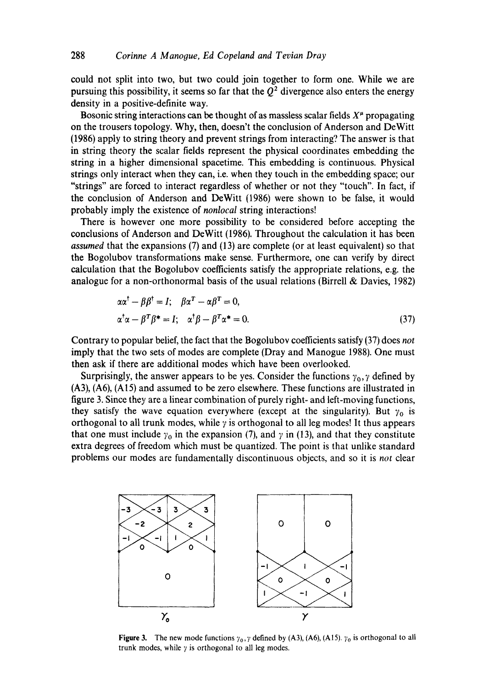could not split into two, but two could join together to form one. While we are pursuing this possibility, it seems so far that the  $Q<sup>2</sup>$  divergence also enters the energy density in a positive-definite way.

Bosonic string interactions can be thought of as massless scalar fields  $X^{\mu}$  propagating on the trousers topology. Why, then, doesn't the conclusion of Anderson and DeWitt (1986) apply to string theory and prevent strings from interacting'? The answer is that in string theory the scalar fields represent the physical coordinates embedding the string in a higher dimensional spacetime. This embedding is continuous. Physical strings only interact when they can, i.e. when they touch in the embedding space; our "strings" are forced to interact regardless of whether or not they "touch". In fact, if the conclusion of Anderson and DeWitt (1986) were shown to be false, it would probably imply the existence of *nonlocal* string interactions!

There is however one more possibility to be considered before accepting the conclusions of Anderson and DeWitt (1986). Throughout the calculation it has been *assumed* that the expansions (7) and (13) are complete (or at least equivalent) so that the Bogolubov transformations make sense. Furthermore, one can verify by direct calculation that the Bogolubov coefficients satisfy the appropriate relations, e.g. the analogue for a non-orthonormal basis of the usual relations (Birrell & Davies, 1982)

$$
\alpha \alpha^{\dagger} - \beta \beta^{\dagger} = I; \quad \beta \alpha^{\dagger} - \alpha \beta^{\dagger} = 0,
$$
  
\n
$$
\alpha^{\dagger} \alpha - \beta^{\dagger} \beta^* = I; \quad \alpha^{\dagger} \beta - \beta^{\dagger} \alpha^* = 0.
$$
\n(37)

Contrary to popular belief, the fact that the Bogolubov coefficients satisfy (37) does *not*  imply that the two sets of modes are complete (Dray and Manogue 1988). One must then ask if there are additional modes which have been overlooked.

Surprisingly, the answer appears to be yes. Consider the functions  $\gamma_0$ ,  $\gamma$  defined by (A3), (A6), (A15) and assumed to be zero elsewhere. These functions are illustrated in figure 3. Since they are a linear combination of purely right- and left-moving functions, they satisfy the wave equation everywhere (except at the singularity). But  $\gamma_0$  is orthogonal to all trunk modes, while  $\gamma$  is orthogonal to all leg modes! It thus appears that one must include  $\gamma_0$  in the expansion (7), and  $\gamma$  in (13), and that they constitute extra degrees of freedom which must be quantized. The point is that unlike standard problems our modes are fundamentally discontinuous objects, and so it is *not* clear



Figure 3. The new mode functions  $\gamma_0$ ,  $\gamma$  defined by (A3), (A6), (A15).  $\gamma_0$  is orthogonal to all trunk modes, while  $\gamma$  is orthogonal to all leg modes.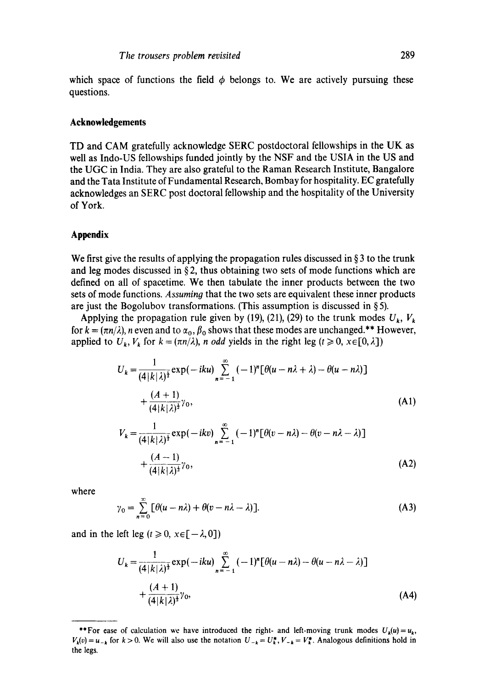which space of functions the field  $\phi$  belongs to. We are actively pursuing these questions.

#### **Acknowledgements**

TD and CAM gratefully acknowledge SERC postdoctoral fellowships in the UK as well as Indo-US fellowships funded jointly by the NSF and the USIA in the US and the UGC in India. They are also grateful to the Raman Research Institute, Bangalore and the Tata Institute of Fundamental Research, Bombay for hospitality. EC gratefully acknowledges an SERC post doctoral fellowship and the hospitality of the University of York.

#### **Appendix**

We first give the results of applying the propagation rules discussed in  $\S$  3 to the trunk and leg modes discussed in §2, thus obtaining two sets of mode functions which are defined on all of spacetime. We then tabulate the inner products between the two sets of mode functions. *Assumin9* that the two sets are equivalent these inner products are just the Bogolubov transformations. (This assumption is discussed in  $\S$ 5).

Applying the propagation rule given by (19), (21), (29) to the trunk modes  $U_k$ ,  $V_k$ for  $k = (\pi n/\lambda)$ , *n* even and to  $\alpha_0$ ,  $\beta_0$  shows that these modes are unchanged.\*\* However, applied to  $U_k$ ,  $V_k$  for  $k = \frac{\pi n}{\lambda}$ , *n* odd yields in the right leg ( $t \ge 0$ ,  $x \in [0, \lambda]$ )

$$
U_k = \frac{1}{(4|k|\lambda)^{\frac{1}{2}}} \exp(-iku) \sum_{n=-1}^{\infty} (-1)^n [\theta(u - n\lambda + \lambda) - \theta(u - n\lambda)]
$$
  
+ 
$$
\frac{(A+1)}{(4|k|\lambda)^{\frac{1}{2}}}\gamma_0,
$$
  

$$
V_k = \frac{1}{(4|k|\lambda)^{\frac{1}{2}}} \exp(-ikv) \sum_{n=-1}^{\infty} (-1)^n [\theta(v - n\lambda) - \theta(v - n\lambda - \lambda)]
$$
 (A1)

$$
+\frac{(A-1)}{(4|k|\lambda)^{\frac{1}{2}}}\gamma_0,\tag{A2}
$$

where

$$
\gamma_0 = \sum_{n=0}^{\infty} \left[ \theta(u - n\lambda) + \theta(v - n\lambda - \lambda) \right].
$$
 (A3)

and in the left leg ( $t \ge 0$ ,  $x \in [-\lambda, 0]$ )

$$
U_k = \frac{1}{(4|k|\lambda)^{\frac{1}{2}}} \exp(-iku) \sum_{n=-1}^{\infty} (-1)^n [\theta(u-n\lambda) - \theta(u-n\lambda - \lambda)] + \frac{(A+1)}{(4|k|\lambda)^{\frac{1}{2}}}\gamma_0,
$$
 (A4)

<sup>\*\*</sup>For ease of calculation we have introduced the right- and left-moving trunk modes  $U_k(u) = u_k$ ,  $V_k(v) = u_{-k}$  for  $k > 0$ . We will also use the notation  $U_{-k} = U^*_k$ ,  $V_{-k} = V^*_k$ . Analogous definitions hold in the legs.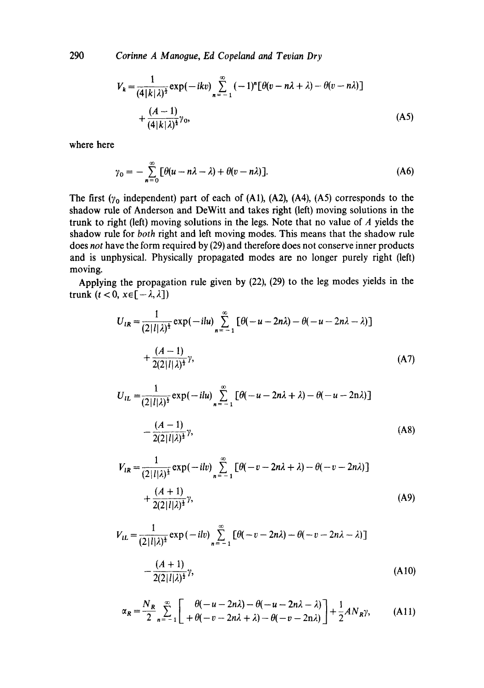290 *Corinne A Manooue, Ed Copeland and Tevian Dry* 

$$
V_k = \frac{1}{(4|k|\lambda)^{\frac{1}{2}}} \exp(-ikv) \sum_{n=-1}^{\infty} (-1)^n [\theta(v - n\lambda + \lambda) - \theta(v - n\lambda)]
$$
  
+ 
$$
\frac{(A-1)}{(4|k|\lambda)^{\frac{1}{2}}}\gamma_0,
$$
 (A5)

where here

$$
\gamma_0 = -\sum_{n=0}^{\infty} \left[ \theta(u - n\lambda - \lambda) + \theta(v - n\lambda) \right].
$$
 (A6)

The first  $(y_0$  independent) part of each of (A1), (A2), (A4), (A5) corresponds to the shadow rule of Anderson and DeWitt and takes fight (left) moving solutions in the trunk to right (left) moving solutions in the legs. Note that no value of  $\vec{A}$  yields the shadow rule for *both* right and left moving modes. This means that the shadow rule does *not* have the form required by (29) and therefore does not conserve inner products and is unphysical. Physically propagated modes are no longer purely right (left) moving.

Applying the propagation rule given by (22), (29) to the leg modes yields in the trunk  $(t < 0, x \in [-\lambda, \lambda])$ 

$$
U_{lR} = \frac{1}{(2|l|\lambda)^{\frac{1}{2}}} \exp(-ilu) \sum_{n=-1}^{\infty} \left[ \theta(-u - 2n\lambda) - \theta(-u - 2n\lambda - \lambda) \right]
$$
  
+ 
$$
\frac{(A-1)}{2(2|l|\lambda)^{\frac{1}{2}}}\gamma,
$$
 (A7)

$$
U_{1L} = \frac{1}{(2|l|\lambda)^{\frac{1}{2}}} \exp(-ilu) \sum_{n=-1}^{\infty} \left[ \theta(-u - 2n\lambda + \lambda) - \theta(-u - 2n\lambda) \right]
$$

$$
- \frac{(A-1)}{2(2|l|\lambda)^{\frac{1}{2}}}\gamma,
$$
(A8)

$$
V_{1R} = \frac{1}{(2|l|\lambda)^{\frac{1}{2}}} \exp(-ilv) \sum_{n=-1}^{\infty} \left[ \theta(-v - 2n\lambda + \lambda) - \theta(-v - 2n\lambda) \right]
$$
  
+ 
$$
\frac{(A+1)}{2(2|l|\lambda)^{\frac{1}{2}}}\gamma,
$$
 (A9)

$$
V_{iL} = \frac{1}{(2|l|\lambda)^{\frac{1}{2}}} \exp(-ilv) \sum_{n=-1}^{\infty} \left[ \theta(-v - 2n\lambda) - \theta(-v - 2n\lambda - \lambda) \right]
$$

$$
-\frac{(A+1)}{2(2|l|\lambda)^{\frac{1}{2}}}\gamma,
$$
(A10)

$$
\alpha_R = \frac{N_R}{2} \sum_{n=-1}^{\infty} \left[ \begin{array}{cc} \theta(-u-2n\lambda) - \theta(-u-2n\lambda-\lambda) \\ +\theta(-v-2n\lambda+\lambda) - \theta(-v-2n\lambda) \end{array} \right] + \frac{1}{2}AN_R\gamma, \tag{A11}
$$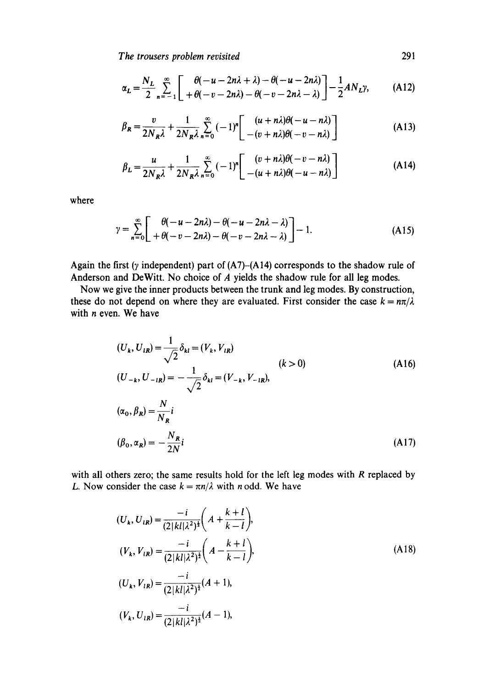*The trousers problem revisited* 291

$$
\alpha_L = \frac{N_L}{2} \sum_{n=-1}^{\infty} \left[ \begin{array}{cc} \theta(-u - 2n\lambda + \lambda) - \theta(-u - 2n\lambda) \\ + \theta(-v - 2n\lambda) - \theta(-v - 2n\lambda - \lambda) \end{array} \right] - \frac{1}{2} A N_L \gamma, \tag{A12}
$$

$$
\beta_R = \frac{v}{2N_R \lambda} + \frac{1}{2N_R \lambda} \sum_{n=0}^{\infty} (-1)^n \left[ \frac{(u+n\lambda)\theta(-u-n\lambda)}{-(v+n\lambda)\theta(-v-n\lambda)} \right]
$$
(A13)

$$
\beta_L = \frac{u}{2N_R \lambda} + \frac{1}{2N_R \lambda} \sum_{n=0}^{\infty} (-1)^n \left[ \frac{(v + n\lambda)\theta(-v - n\lambda)}{-(u + n\lambda)\theta(-u - n\lambda)} \right]
$$
(A14)

where

$$
\gamma = \sum_{n=0}^{\infty} \left[ \begin{array}{cc} \theta(-u - 2n\lambda) - \theta(-u - 2n\lambda - \lambda) \\ + \theta(-v - 2n\lambda) - \theta(-v - 2n\lambda - \lambda) \end{array} \right] - 1.
$$
 (A15)

Again the first ( $\gamma$  independent) part of (A7)-(A14) corresponds to the shadow rule of Anderson and DeWitt. No choice of A yields the shadow rule for all leg modes.

Now we give the inner products between the trunk and leg modes. By construction, these do not depend on where they are evaluated. First consider the case  $k = n\pi/\lambda$ with *n* even. We have

$$
(U_k, U_{1R}) = \frac{1}{\sqrt{2}} \delta_{kl} = (V_k, V_{1R})
$$
  
\n
$$
(U_{-k}, U_{-1R}) = -\frac{1}{\sqrt{2}} \delta_{kl} = (V_{-k}, V_{-1R}),
$$
  
\n
$$
(\alpha_0, \beta_R) = \frac{N}{N_R} i
$$
  
\n
$$
(\beta_0, \alpha_R) = -\frac{N_R}{2N} i
$$
  
\n(A17)

with all others zero; the same results hold for the left leg modes with  $R$  replaced by L. Now consider the case  $k = \pi n/\lambda$  with n odd. We have

$$
(U_k, U_{lR}) = \frac{-i}{(2|kl|\lambda^2)^{\frac{1}{2}}} \bigg( A + \frac{k+l}{k-l} \bigg),
$$
  
\n
$$
(V_k, V_{lR}) = \frac{-i}{(2|kl|\lambda^2)^{\frac{1}{2}}} \bigg( A - \frac{k+l}{k-l} \bigg),
$$
  
\n
$$
(U_k, V_{lR}) = \frac{-i}{(2|kl|\lambda^2)^{\frac{1}{2}}} (A+1),
$$
  
\n
$$
(V_k, U_{lR}) = \frac{-i}{(2|kl|\lambda^2)^{\frac{1}{2}}} (A-1),
$$
  
\n(A18)